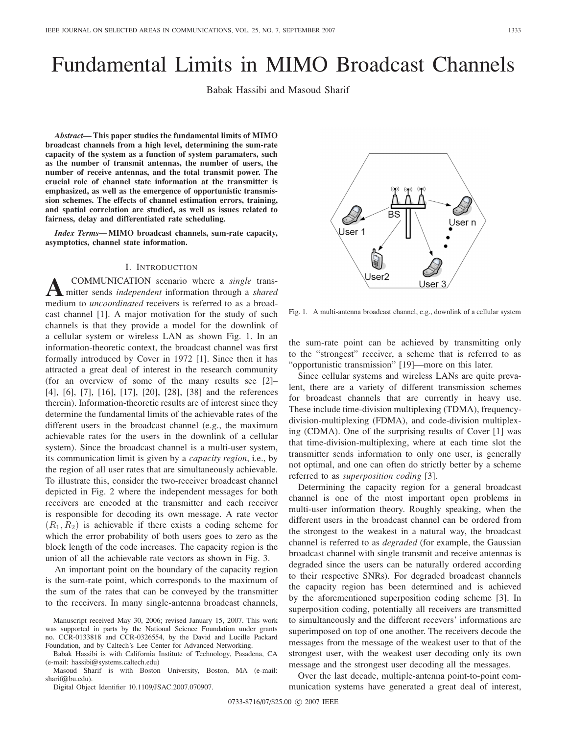# Fundamental Limits in MIMO Broadcast Channels

Babak Hassibi and Masoud Sharif

*Abstract***— This paper studies the fundamental limits of MIMO broadcast channels from a high level, determining the sum-rate capacity of the system as a function of system paramaters, such as the number of transmit antennas, the number of users, the number of receive antennas, and the total transmit power. The crucial role of channel state information at the transmitter is emphasized, as well as the emergence of opportunistic transmission schemes. The effects of channel estimation errors, training, and spatial correlation are studied, as well as issues related to fairness, delay and differentiated rate scheduling.**

*Index Terms***— MIMO broadcast channels, sum-rate capacity, asymptotics, channel state information.**

# I. INTRODUCTION

**A** COMMUNICATION scenario where a *single* transmitter sends *independent* information through a *shared* medium to *uncoordinated* receivers is referred to as a broadcast channel [1]. A major motivation for the study of such channels is that they provide a model for the downlink of a cellular system or wireless LAN as shown Fig. 1. In an information-theoretic context, the broadcast channel was first formally introduced by Cover in 1972 [1]. Since then it has attracted a great deal of interest in the research community (for an overview of some of the many results see [2]– [4], [6], [7], [16], [17], [20], [28], [38] and the references therein). Information-theoretic results are of interest since they determine the fundamental limits of the achievable rates of the different users in the broadcast channel (e.g., the maximum achievable rates for the users in the downlink of a cellular system). Since the broadcast channel is a multi-user system, its communication limit is given by a *capacity region*, i.e., by the region of all user rates that are simultaneously achievable. To illustrate this, consider the two-receiver broadcast channel depicted in Fig. 2 where the independent messages for both receivers are encoded at the transmitter and each receiver is responsible for decoding its own message. A rate vector  $(R_1, R_2)$  is achievable if there exists a coding scheme for which the error probability of both users goes to zero as the block length of the code increases. The capacity region is the union of all the achievable rate vectors as shown in Fig. 3.

An important point on the boundary of the capacity region is the sum-rate point, which corresponds to the maximum of the sum of the rates that can be conveyed by the transmitter to the receivers. In many single-antenna broadcast channels,

Masoud Sharif is with Boston University, Boston, MA (e-mail: sharif@bu.edu).

Digital Object Identifier 10.1109/JSAC.2007.070907.



Fig. 1. A multi-antenna broadcast channel, e.g., downlink of a cellular system

the sum-rate point can be achieved by transmitting only to the "strongest" receiver, a scheme that is referred to as "opportunistic transmission" [19]—more on this later.

Since cellular systems and wireless LANs are quite prevalent, there are a variety of different transmission schemes for broadcast channels that are currently in heavy use. These include time-division multiplexing (TDMA), frequencydivision-multiplexing (FDMA), and code-division multiplexing (CDMA). One of the surprising results of Cover [1] was that time-division-multiplexing, where at each time slot the transmitter sends information to only one user, is generally not optimal, and one can often do strictly better by a scheme referred to as *superposition coding* [3].

Determining the capacity region for a general broadcast channel is one of the most important open problems in multi-user information theory. Roughly speaking, when the different users in the broadcast channel can be ordered from the strongest to the weakest in a natural way, the broadcast channel is referred to as *degraded* (for example, the Gaussian broadcast channel with single transmit and receive antennas is degraded since the users can be naturally ordered according to their respective SNRs). For degraded broadcast channels the capacity region has been determined and is achieved by the aforementioned superposition coding scheme [3]. In superposition coding, potentially all receivers are transmitted to simultaneously and the different recevers' informations are superimposed on top of one another. The receivers decode the messages from the message of the weakest user to that of the strongest user, with the weakest user decoding only its own message and the strongest user decoding all the messages.

Over the last decade, multiple-antenna point-to-point communication systems have generated a great deal of interest,

Manuscript received May 30, 2006; revised January 15, 2007. This work was supported in parts by the National Science Foundation under grants no. CCR-0133818 and CCR-0326554, by the David and Lucille Packard Foundation, and by Caltech's Lee Center for Advanced Networking.

Babak Hassibi is with California Institute of Technology, Pasadena, CA (e-mail: hassibi@systems.caltech.edu)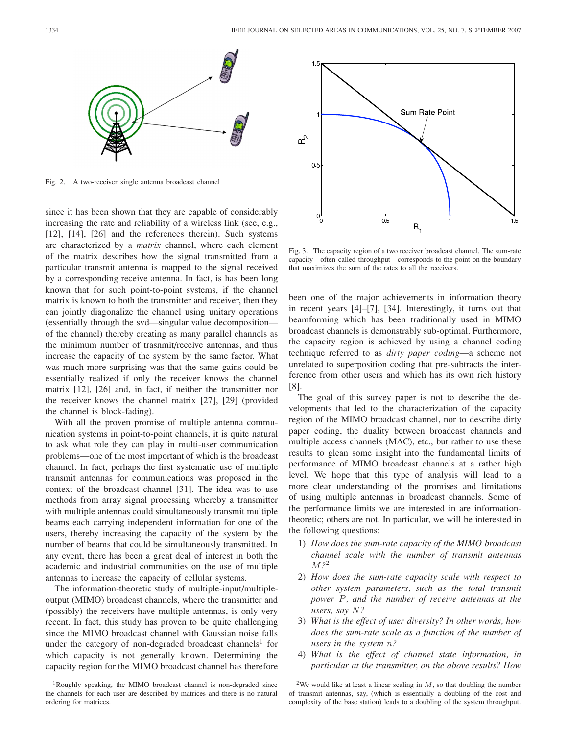

Fig. 2. A two-receiver single antenna broadcast channel

since it has been shown that they are capable of considerably increasing the rate and reliability of a wireless link (see, e.g., [12], [14], [26] and the references therein). Such systems are characterized by a *matrix* channel, where each element of the matrix describes how the signal transmitted from a particular transmit antenna is mapped to the signal received by a corresponding receive antenna. In fact, is has been long known that for such point-to-point systems, if the channel matrix is known to both the transmitter and receiver, then they can jointly diagonalize the channel using unitary operations (essentially through the svd—singular value decomposition of the channel) thereby creating as many parallel channels as the minimum number of trasnmit/receive antennas, and thus increase the capacity of the system by the same factor. What was much more surprising was that the same gains could be essentially realized if only the receiver knows the channel matrix [12], [26] and, in fact, if neither the transmitter nor the receiver knows the channel matrix [27], [29] (provided the channel is block-fading).

With all the proven promise of multiple antenna communication systems in point-to-point channels, it is quite natural to ask what role they can play in multi-user communication problems—one of the most important of which is the broadcast channel. In fact, perhaps the first systematic use of multiple transmit antennas for communications was proposed in the context of the broadcast channel [31]. The idea was to use methods from array signal processing whereby a transmitter with multiple antennas could simultaneously transmit multiple beams each carrying independent information for one of the users, thereby increasing the capacity of the system by the number of beams that could be simultaneously transmitted. In any event, there has been a great deal of interest in both the academic and industrial communities on the use of multiple antennas to increase the capacity of cellular systems.

The information-theoretic study of multiple-input/multipleoutput (MIMO) broadcast channels, where the transmitter and (possibly) the receivers have multiple antennas, is only very recent. In fact, this study has proven to be quite challenging since the MIMO broadcast channel with Gaussian noise falls under the category of non-degraded broadcast channels<sup>1</sup> for which capacity is not generally known. Determining the capacity region for the MIMO broadcast channel has therefore





Fig. 3. The capacity region of a two receiver broadcast channel. The sum-rate capacity—often called throughput—corresponds to the point on the boundary that maximizes the sum of the rates to all the receivers.

been one of the major achievements in information theory in recent years [4]–[7], [34]. Interestingly, it turns out that beamforming which has been traditionally used in MIMO broadcast channels is demonstrably sub-optimal. Furthermore, the capacity region is achieved by using a channel coding technique referred to as *dirty paper coding*—a scheme not unrelated to superposition coding that pre-subtracts the interference from other users and which has its own rich history [8].

The goal of this survey paper is not to describe the developments that led to the characterization of the capacity region of the MIMO broadcast channel, nor to describe dirty paper coding, the duality between broadcast channels and multiple access channels (MAC), etc., but rather to use these results to glean some insight into the fundamental limits of performance of MIMO broadcast channels at a rather high level. We hope that this type of analysis will lead to a more clear understanding of the promises and limitations of using multiple antennas in broadcast channels. Some of the performance limits we are interested in are informationtheoretic; others are not. In particular, we will be interested in the following questions:

- 1) *How does the sum-rate capacity of the MIMO broadcast channel scale with the number of transmit antennas* M*?*<sup>2</sup>
- 2) *How does the sum-rate capacity scale with respect to other system parameters, such as the total transmit power* P*, and the number of receive antennas at the users, say* N*?*
- 3) *What is the effect of user diversity? In other words, how does the sum-rate scale as a function of the number of users in the system* n*?*
- 4) *What is the effect of channel state information, in particular at the transmitter, on the above results? How*

<sup>2</sup>We would like at least a linear scaling in  $M$ , so that doubling the number of transmit antennas, say, (which is essentially a doubling of the cost and complexity of the base station) leads to a doubling of the system throughput.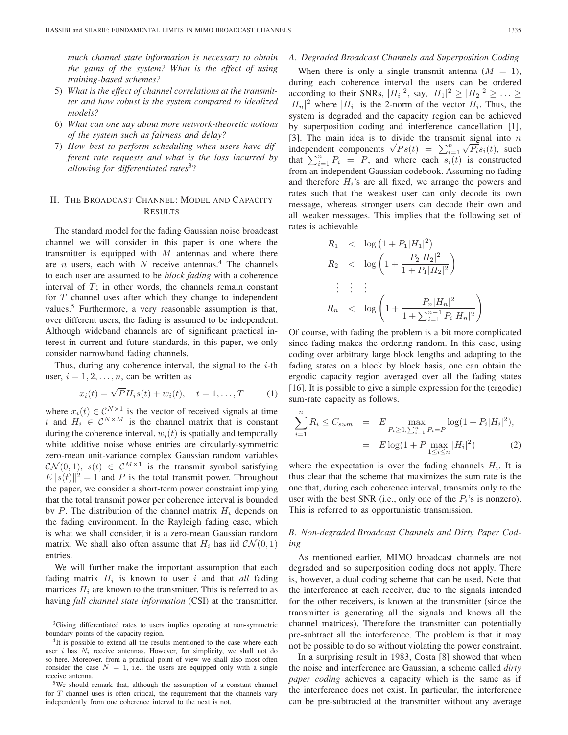*much channel state information is necessary to obtain the gains of the system? What is the effect of using training-based schemes?*

- 5) *What is the effect of channel correlations at the transmitter and how robust is the system compared to idealized models?*
- 6) *What can one say about more network-theoretic notions of the system such as fairness and delay?*
- 7) *How best to perform scheduling when users have different rate requests and what is the loss incurred by allowing for differentiated rates*3?

# II. THE BROADCAST CHANNEL: MODEL AND CAPACITY **RESULTS**

The standard model for the fading Gaussian noise broadcast channel we will consider in this paper is one where the transmitter is equipped with  $M$  antennas and where there are *n* users, each with  $N$  receive antennas.<sup>4</sup> The channels to each user are assumed to be *block fading* with a coherence interval of  $T$ ; in other words, the channels remain constant for  $T$  channel uses after which they change to independent values.<sup>5</sup> Furthermore, a very reasonable assumption is that, over different users, the fading is assumed to be independent. Although wideband channels are of significant practical interest in current and future standards, in this paper, we only consider narrowband fading channels.

Thus, during any coherence interval, the signal to the  $i$ -th user,  $i = 1, 2, \ldots, n$ , can be written as

$$
x_i(t) = \sqrt{P}H_i s(t) + w_i(t), \quad t = 1, \dots, T \tag{1}
$$

where  $x_i(t) \in C^{N \times 1}$  is the vector of received signals at time t and  $H_i \in C^{N \times M}$  is the channel matrix that is constant during the coherence interval.  $w_i(t)$  is spatially and temporally white additive noise whose entries are circularly-symmetric zero-mean unit-variance complex Gaussian random variables  $\mathcal{CN}(0, 1), s(t) \in \mathcal{C}^{M \times 1}$  is the transmit symbol satisfying  $E||s(t)||^2 = 1$  and P is the total transmit power. Throughout the paper, we consider a short-term power constraint implying that the total transmit power per coherence interval is bounded by  $P$ . The distribution of the channel matrix  $H_i$  depends on the fading environment. In the Rayleigh fading case, which is what we shall consider, it is a zero-mean Gaussian random matrix. We shall also often assume that  $H_i$  has iid  $CN(0, 1)$ entries.

We will further make the important assumption that each fading matrix  $H_i$  is known to user i and that *all* fading matrices  $H_i$  are known to the transmitter. This is referred to as having *full channel state information* (CSI) at the transmitter.

# *A. Degraded Broadcast Channels and Superposition Coding*

When there is only a single transmit antenna  $(M = 1)$ , during each coherence interval the users can be ordered according to their SNRs,  $|H_i|^2$ , say,  $|H_1|^2 \geq |H_2|^2 \geq \ldots \geq$ <br> $|H_1|^2$  where  $|H_2|$  is the 2 norm of the vector  $H_1$ . Thus, then  $|H_n|^2$  where  $|H_i|$  is the 2-norm of the vector  $H_i$ . Thus, the system is degraded and the capacity region can be achieved by superposition coding and interference cancellation [1], [3]. The main idea is to divide the transmit signal into  $n$ independent components  $\sqrt{P} s(t) = \sum_{i=1}^{n} \sqrt{P_i} s_i(t)$ , such independent components  $\forall F s(t) = \sum_{i=1}^{\infty} \sqrt{F_i s_i(t)}$ , such that  $\sum_{i=1}^{n} P_i = P$ , and where each  $s_i(t)$  is constructed from an independent Gaussian codebook. Assuming no fading from an independent Gaussian codebook. Assuming no fading and therefore  $H_i$ 's are all fixed, we arrange the powers and rates such that the weakest user can only decode its own message, whereas stronger users can decode their own and all weaker messages. This implies that the following set of rates is achievable

$$
R_1 < \log (1 + P_1 |H_1|^2)
$$
  
\n
$$
R_2 < \log \left(1 + \frac{P_2 |H_2|^2}{1 + P_1 |H_2|^2}\right)
$$
  
\n
$$
\vdots \qquad \vdots
$$
  
\n
$$
R_n < \log \left(1 + \frac{P_n |H_n|^2}{1 + \sum_{i=1}^{n-1} P_i |H_n|^2}\right)
$$

Of course, with fading the problem is a bit more complicated since fading makes the ordering random. In this case, using coding over arbitrary large block lengths and adapting to the fading states on a block by block basis, one can obtain the ergodic capacity region averaged over all the fading states [16]. It is possible to give a simple expression for the (ergodic) sum-rate capacity as follows.

$$
\sum_{i=1}^{n} R_i \le C_{sum} = E \max_{P_i \ge 0, \sum_{i=1}^{n} P_i = P} \log(1 + P_i |H_i|^2),
$$
  
=  $E \log(1 + P \max_{1 \le i \le n} |H_i|^2)$  (2)

where the expectation is over the fading channels  $H_i$ . It is thus clear that the scheme that maximizes the sum rate is the one that, during each coherence interval, transmits only to the user with the best SNR (i.e., only one of the  $P_i$ 's is nonzero). This is referred to as opportunistic transmission.

# *B. Non-degraded Broadcast Channels and Dirty Paper Coding*

As mentioned earlier, MIMO broadcast channels are not degraded and so superposition coding does not apply. There is, however, a dual coding scheme that can be used. Note that the interference at each receiver, due to the signals intended for the other receivers, is known at the transmitter (since the transmitter is generating all the signals and knows all the channel matrices). Therefore the transmitter can potentially pre-subtract all the interference. The problem is that it may not be possible to do so without violating the power constraint.

In a surprising result in 1983, Costa [8] showed that when the noise and interference are Gaussian, a scheme called *dirty paper coding* achieves a capacity which is the same as if the interference does not exist. In particular, the interference can be pre-subtracted at the transmitter without any average

<sup>&</sup>lt;sup>3</sup>Giving differentiated rates to users implies operating at non-symmetric boundary points of the capacity region.

<sup>&</sup>lt;sup>4</sup>It is possible to extend all the results mentioned to the case where each user  $i$  has  $N_i$  receive antennas. However, for simplicity, we shall not do so here. Moreover, from a practical point of view we shall also most often consider the case  $N = 1$ , i.e., the users are equipped only with a single receive antenna.

<sup>5</sup>We should remark that, although the assumption of a constant channel for  $T$  channel uses is often critical, the requirement that the channels vary independently from one coherence interval to the next is not.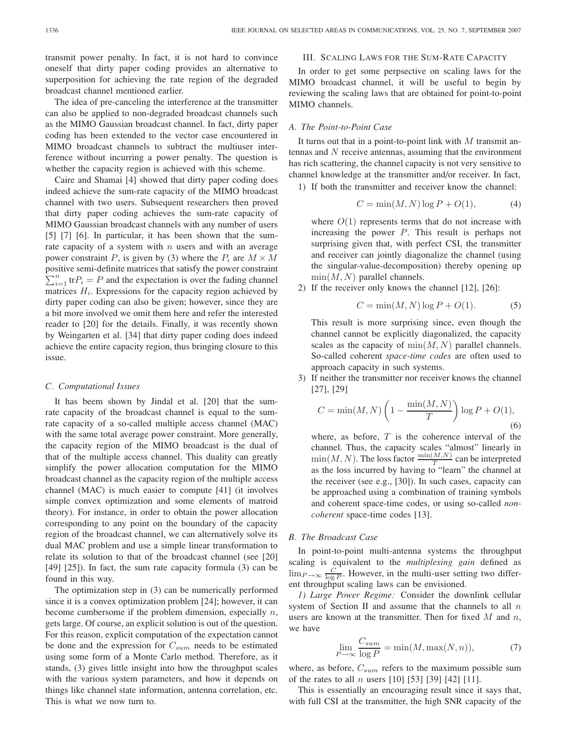transmit power penalty. In fact, it is not hard to convince oneself that dirty paper coding provides an alternative to superposition for achieving the rate region of the degraded broadcast channel mentioned earlier.

The idea of pre-canceling the interference at the transmitter can also be applied to non-degraded broadcast channels such as the MIMO Gaussian broadcast channel. In fact, dirty paper coding has been extended to the vector case encountered in MIMO broadcast channels to subtract the multiuser interference without incurring a power penalty. The question is whether the capacity region is achieved with this scheme.

Caire and Shamai [4] showed that dirty paper coding does indeed achieve the sum-rate capacity of the MIMO broadcast channel with two users. Subsequent researchers then proved that dirty paper coding achieves the sum-rate capacity of MIMO Gaussian broadcast channels with any number of users [5] [7] [6]. In particular, it has been shown that the sumrate capacity of a system with  $n$  users and with an average power constraint P, is given by (3) where the  $P_i$  are  $M \times M$ positive semi-definite matrices that satisfy the power constraint  $\sum_{i=1}^{n}$  tr $P_i = P$  and the expectation is over the fading channel<br>matrices  $H_i$ . Expressions for the canacity region achieved by matrices H*i*. Expressions for the capacity region achieved by dirty paper coding can also be given; however, since they are a bit more involved we omit them here and refer the interested reader to [20] for the details. Finally, it was recently shown by Weingarten et al. [34] that dirty paper coding does indeed achieve the entire capacity region, thus bringing closure to this issue.

#### *C. Computational Issues*

It has beem shown by Jindal et al. [20] that the sumrate capacity of the broadcast channel is equal to the sumrate capacity of a so-called multiple access channel (MAC) with the same total average power constraint. More generally, the capacity region of the MIMO broadcast is the dual of that of the multiple access channel. This duality can greatly simplify the power allocation computation for the MIMO broadcast channel as the capacity region of the multiple access channel (MAC) is much easier to compute [41] (it involves simple convex optimization and some elements of matroid theory). For instance, in order to obtain the power allocation corresponding to any point on the boundary of the capacity region of the broadcast channel, we can alternatively solve its dual MAC problem and use a simple linear transformation to relate its solution to that of the broadcast channel (see [20] [49] [25]). In fact, the sum rate capacity formula (3) can be found in this way.

The optimization step in (3) can be numerically performed since it is a convex optimization problem [24]; however, it can become cumbersome if the problem dimension, especially  $n$ , gets large. Of course, an explicit solution is out of the question. For this reason, explicit computation of the expectation cannot be done and the expression for C*sum* needs to be estimated using some form of a Monte Carlo method. Therefore, as it stands, (3) gives little insight into how the throughput scales with the various system parameters, and how it depends on things like channel state information, antenna correlation, etc. This is what we now turn to.

## III. SCALING LAWS FOR THE SUM-RATE CAPACITY

In order to get some perpsective on scaling laws for the MIMO broadcast channel, it will be useful to begin by reviewing the scaling laws that are obtained for point-to-point MIMO channels.

# *A. The Point-to-Point Case*

It turns out that in a point-to-point link with  $M$  transmit antennas and N receive antennas, assuming that the environment has rich scattering, the channel capacity is not very sensitive to channel knowledge at the transmitter and/or receiver. In fact,

1) If both the transmitter and receiver know the channel:

$$
C = \min(M, N) \log P + O(1),\tag{4}
$$

where  $O(1)$  represents terms that do not increase with increasing the power  $P$ . This result is perhaps not surprising given that, with perfect CSI, the transmitter and receiver can jointly diagonalize the channel (using the singular-value-decomposition) thereby opening up  $min(M, N)$  parallel channels.

2) If the receiver only knows the channel [12], [26]:

$$
C = \min(M, N) \log P + O(1). \tag{5}
$$

This result is more surprising since, even though the channel cannot be explicitly diagonalized, the capacity scales as the capacity of  $min(M, N)$  parallel channels. So-called coherent *space-time codes* are often used to approach capacity in such systems.

3) If neither the transmitter nor receiver knows the channel [27], [29]

$$
C = \min(M, N) \left( 1 - \frac{\min(M, N)}{T} \right) \log P + O(1),\tag{6}
$$

where, as before,  $T$  is the coherence interval of the channel. Thus, the capacity scales "almost" linearly in  $min(M, N)$ . The loss factor  $\frac{min(M, N)}{T}$  can be interpreted as the loss incurred by having to "learn" the channel at the receiver (see e.g., [30]). In such cases, capacity can be approached using a combination of training symbols and coherent space-time codes, or using so-called *noncoherent* space-time codes [13].

# *B. The Broadcast Case*

In point-to-point multi-antenna systems the throughput scaling is equivalent to the *multiplexing gain* defined as  $\lim_{P\to\infty} \frac{C}{\log P}$ . However, in the multi-user setting two different throughput scaling laws can be envisioned ent throughput scaling laws can be envisioned.

*1) Large Power Regime:* Consider the downlink cellular system of Section II and assume that the channels to all  $n$ users are known at the transmitter. Then for fixed  $M$  and  $n$ , we have

$$
\lim_{P \to \infty} \frac{C_{sum}}{\log P} = \min(M, \max(N, n)),\tag{7}
$$

where, as before, C*sum* refers to the maximum possible sum of the rates to all *n* users  $[10] [53] [39] [42] [11]$ .

This is essentially an encouraging result since it says that, with full CSI at the transmitter, the high SNR capacity of the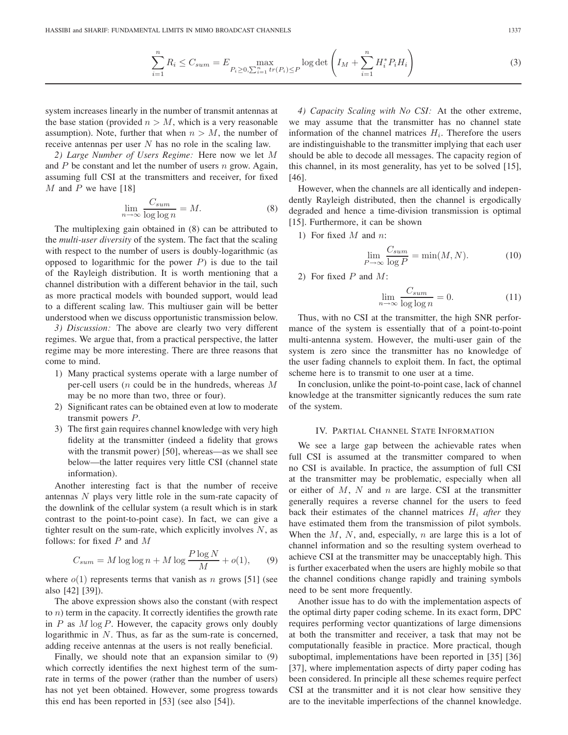$$
\sum_{i=1}^{n} R_i \le C_{sum} = E \max_{P_i \ge 0, \sum_{i=1}^{n} tr(P_i) \le P} \log \det \left( I_M + \sum_{i=1}^{n} H_i^* P_i H_i \right)
$$
(3)

system increases linearly in the number of transmit antennas at the base station (provided  $n>M$ , which is a very reasonable assumption). Note, further that when  $n > M$ , the number of receive antennas per user  $N$  has no role in the scaling law.

*2) Large Number of Users Regime:* Here now we let M and  $P$  be constant and let the number of users  $n$  grow. Again, assuming full CSI at the transmitters and receiver, for fixed  $M$  and  $P$  we have [18]

$$
\lim_{n \to \infty} \frac{C_{sum}}{\log \log n} = M. \tag{8}
$$

The multiplexing gain obtained in (8) can be attributed to the *multi-user diversity* of the system. The fact that the scaling with respect to the number of users is doubly-logarithmic (as opposed to logarithmic for the power  $P$ ) is due to the tail of the Rayleigh distribution. It is worth mentioning that a channel distribution with a different behavior in the tail, such as more practical models with bounded support, would lead to a different scaling law. This multiuser gain will be better understood when we discuss opportunistic transmission below.

*3) Discussion:* The above are clearly two very different regimes. We argue that, from a practical perspective, the latter regime may be more interesting. There are three reasons that come to mind.

- 1) Many practical systems operate with a large number of per-cell users  $(n \text{ could be in the hundreds, whereas } M)$ may be no more than two, three or four).
- 2) Significant rates can be obtained even at low to moderate transmit powers P.
- 3) The first gain requires channel knowledge with very high fidelity at the transmitter (indeed a fidelity that grows with the transmit power) [50], whereas—as we shall see below—the latter requires very little CSI (channel state information).

Another interesting fact is that the number of receive antennas N plays very little role in the sum-rate capacity of the downlink of the cellular system (a result which is in stark contrast to the point-to-point case). In fact, we can give a tighter result on the sum-rate, which explicitly involves  $N$ , as follows: for fixed  $P$  and  $M$ 

$$
C_{sum} = M \log \log n + M \log \frac{P \log N}{M} + o(1), \qquad (9)
$$

where  $o(1)$  represents terms that vanish as n grows [51] (see also [42] [39]).

The above expression shows also the constant (with respect to  $n$ ) term in the capacity. It correctly identifies the growth rate in  $P$  as  $M \log P$ . However, the capacity grows only doubly logarithmic in N. Thus, as far as the sum-rate is concerned, adding receive antennas at the users is not really beneficial.

Finally, we should note that an expansion similar to (9) which correctly identifies the next highest term of the sumrate in terms of the power (rather than the number of users) has not yet been obtained. However, some progress towards this end has been reported in [53] (see also [54]).

*4) Capacity Scaling with No CSI:* At the other extreme, we may assume that the transmitter has no channel state information of the channel matrices  $H_i$ . Therefore the users are indistinguishable to the transmitter implying that each user should be able to decode all messages. The capacity region of this channel, in its most generality, has yet to be solved [15], [46].

However, when the channels are all identically and independently Rayleigh distributed, then the channel is ergodically degraded and hence a time-division transmission is optimal [15]. Furthermore, it can be shown

1) For fixed  $M$  and  $n$ :

$$
\lim_{P \to \infty} \frac{C_{sum}}{\log P} = \min(M, N). \tag{10}
$$

2) For fixed  $P$  and  $M$ :

$$
\lim_{n \to \infty} \frac{C_{sum}}{\log \log n} = 0.
$$
\n(11)

Thus, with no CSI at the transmitter, the high SNR performance of the system is essentially that of a point-to-point multi-antenna system. However, the multi-user gain of the system is zero since the transmitter has no knowledge of the user fading channels to exploit them. In fact, the optimal scheme here is to transmit to one user at a time.

In conclusion, unlike the point-to-point case, lack of channel knowledge at the transmitter signicantly reduces the sum rate of the system.

## IV. PARTIAL CHANNEL STATE INFORMATION

We see a large gap between the achievable rates when full CSI is assumed at the transmitter compared to when no CSI is available. In practice, the assumption of full CSI at the transmitter may be problematic, especially when all or either of  $M$ ,  $N$  and  $n$  are large. CSI at the transmitter generally requires a reverse channel for the users to feed back their estimates of the channel matrices H*<sup>i</sup> after* they have estimated them from the transmission of pilot symbols. When the  $M$ ,  $N$ , and, especially,  $n$  are large this is a lot of channel information and so the resulting system overhead to achieve CSI at the transmitter may be unacceptably high. This is further exacerbated when the users are highly mobile so that the channel conditions change rapidly and training symbols need to be sent more frequently.

Another issue has to do with the implementation aspects of the optimal dirty paper coding scheme. In its exact form, DPC requires performing vector quantizations of large dimensions at both the transmitter and receiver, a task that may not be computationally feasible in practice. More practical, though suboptimal, implementations have been reported in [35] [36] [37], where implementation aspects of dirty paper coding has been considered. In principle all these schemes require perfect CSI at the transmitter and it is not clear how sensitive they are to the inevitable imperfections of the channel knowledge.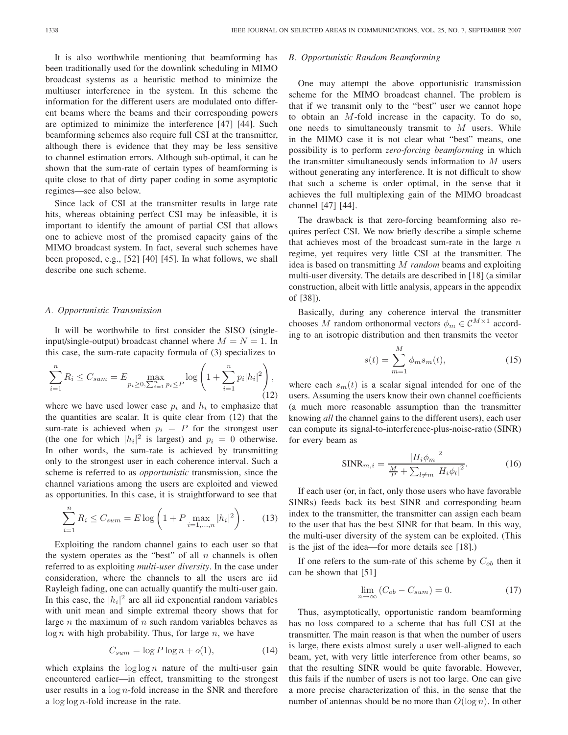It is also worthwhile mentioning that beamforming has been traditionally used for the downlink scheduling in MIMO broadcast systems as a heuristic method to minimize the multiuser interference in the system. In this scheme the information for the different users are modulated onto different beams where the beams and their corresponding powers are optimized to minimize the interference [47] [44]. Such beamforming schemes also require full CSI at the transmitter, although there is evidence that they may be less sensitive to channel estimation errors. Although sub-optimal, it can be shown that the sum-rate of certain types of beamforming is quite close to that of dirty paper coding in some asymptotic regimes—see also below.

Since lack of CSI at the transmitter results in large rate hits, whereas obtaining perfect CSI may be infeasible, it is important to identify the amount of partial CSI that allows one to achieve most of the promised capacity gains of the MIMO broadcast system. In fact, several such schemes have been proposed, e.g., [52] [40] [45]. In what follows, we shall describe one such scheme.

# *A. Opportunistic Transmission*

It will be worthwhile to first consider the SISO (singleinput/single-output) broadcast channel where  $M = N = 1$ . In this case, the sum-rate capacity formula of (3) specializes to

$$
\sum_{i=1}^{n} R_i \le C_{sum} = E \max_{p_i \ge 0, \sum_{i=1}^{n} p_i \le P} \log \left( 1 + \sum_{i=1}^{n} p_i |h_i|^2 \right),\tag{12}
$$

where we have used lower case  $p_i$  and  $h_i$  to emphasize that the quantities are scalar. It is quite clear from (12) that the sum-rate is achieved when  $p_i = P$  for the strongest user (the one for which  $|h_i|^2$  is largest) and  $p_i = 0$  otherwise. In other words, the sum-rate is achieved by transmitting only to the strongest user in each coherence interval. Such a scheme is referred to as *opportunistic* transmission, since the channel variations among the users are exploited and viewed as opportunities. In this case, it is straightforward to see that

$$
\sum_{i=1}^{n} R_i \le C_{sum} = E \log \left( 1 + P \max_{i=1,\dots,n} |h_i|^2 \right). \tag{13}
$$

Exploiting the random channel gains to each user so that the system operates as the "best" of all  $n$  channels is often referred to as exploiting *multi-user diversity*. In the case under consideration, where the channels to all the users are iid Rayleigh fading, one can actually quantify the multi-user gain. In this case, the  $|h_i|^2$  are all iid exponential random variables with unit mean and simple extremal theory shows that for large  $n$  the maximum of  $n$  such random variables behaves as  $\log n$  with high probability. Thus, for large n, we have

$$
C_{sum} = \log P \log n + o(1),\tag{14}
$$

which explains the  $\log \log n$  nature of the multi-user gain encountered earlier—in effect, transmitting to the strongest user results in a  $\log n$ -fold increase in the SNR and therefore a  $\log \log n$ -fold increase in the rate.

# *B. Opportunistic Random Beamforming*

One may attempt the above opportunistic transmission scheme for the MIMO broadcast channel. The problem is that if we transmit only to the "best" user we cannot hope to obtain an M-fold increase in the capacity. To do so, one needs to simultaneously transmit to  $M$  users. While in the MIMO case it is not clear what "best" means, one possibility is to perform *zero-forcing beamforming* in which the transmitter simultaneously sends information to  $M$  users without generating any interference. It is not difficult to show that such a scheme is order optimal, in the sense that it achieves the full multiplexing gain of the MIMO broadcast channel [47] [44].

The drawback is that zero-forcing beamforming also requires perfect CSI. We now briefly describe a simple scheme that achieves most of the broadcast sum-rate in the large  $n$ regime, yet requires very little CSI at the transmitter. The idea is based on transmitting M *random* beams and exploiting multi-user diversity. The details are described in [18] (a similar construction, albeit with little analysis, appears in the appendix of [38]).

Basically, during any coherence interval the transmitter chooses M random orthonormal vectors  $\phi_m \in \mathcal{C}^{M \times 1}$  according to an isotropic distribution and then transmits the vector

$$
s(t) = \sum_{m=1}^{M} \phi_m s_m(t),
$$
\n(15)

where each  $s_m(t)$  is a scalar signal intended for one of the users. Assuming the users know their own channel coefficients (a much more reasonable assumption than the transmitter knowing *all* the channel gains to the different users), each user can compute its signal-to-interference-plus-noise-ratio (SINR) for every beam as

$$
\text{SINR}_{m,i} = \frac{|H_i \phi_m|^2}{\frac{M}{P} + \sum_{l \neq m} |H_i \phi_l|^2}.
$$
 (16)

If each user (or, in fact, only those users who have favorable SINRs) feeds back its best SINR and corresponding beam index to the transmitter, the transmitter can assign each beam to the user that has the best SINR for that beam. In this way, the multi-user diversity of the system can be exploited. (This is the jist of the idea—for more details see [18].)

If one refers to the sum-rate of this scheme by C*ob* then it can be shown that [51]

$$
\lim_{n \to \infty} (C_{ob} - C_{sum}) = 0.
$$
 (17)

Thus, asymptotically, opportunistic random beamforming has no loss compared to a scheme that has full CSI at the transmitter. The main reason is that when the number of users is large, there exists almost surely a user well-aligned to each beam, yet, with very little interference from other beams, so that the resulting SINR would be quite favorable. However, this fails if the number of users is not too large. One can give a more precise characterization of this, in the sense that the number of antennas should be no more than  $O(\log n)$ . In other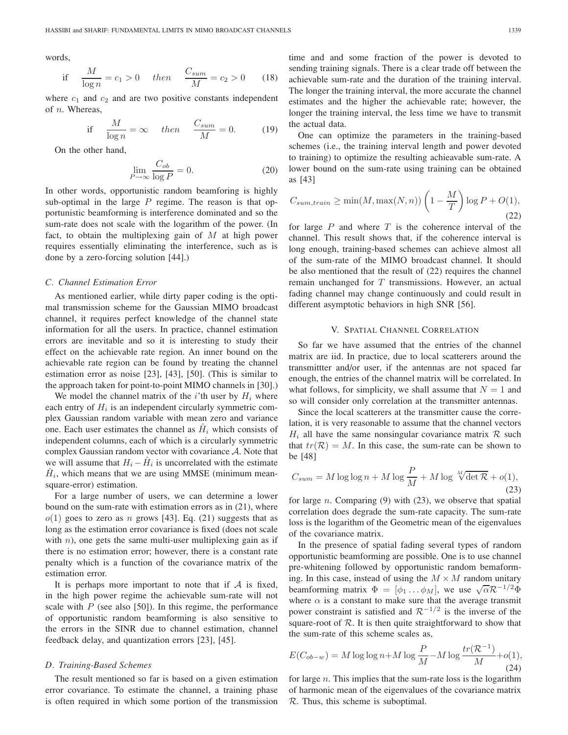words,

$$
\text{if} \quad \frac{M}{\log n} = c_1 > 0 \quad \text{then} \quad \frac{C_{sum}}{M} = c_2 > 0 \quad (18)
$$

where  $c_1$  and  $c_2$  and are two positive constants independent of n. Whereas,

if 
$$
\frac{M}{\log n} = \infty
$$
 then  $\frac{C_{sum}}{M} = 0.$  (19)

On the other hand,

$$
\lim_{P \to \infty} \frac{C_{ob}}{\log P} = 0.
$$
\n(20)

In other words, opportunistic random beamforing is highly sub-optimal in the large  $P$  regime. The reason is that opportunistic beamforming is interference dominated and so the sum-rate does not scale with the logarithm of the power. (In fact, to obtain the multiplexing gain of  $M$  at high power requires essentially eliminating the interference, such as is done by a zero-forcing solution [44].)

## *C. Channel Estimation Error*

As mentioned earlier, while dirty paper coding is the optimal transmission scheme for the Gaussian MIMO broadcast channel, it requires perfect knowledge of the channel state information for all the users. In practice, channel estimation errors are inevitable and so it is interesting to study their effect on the achievable rate region. An inner bound on the achievable rate region can be found by treating the channel estimation error as noise [23], [43], [50]. (This is similar to the approach taken for point-to-point MIMO channels in [30].)

We model the channel matrix of the *i*'th user by  $H_i$  where each entry of  $H_i$  is an independent circularly symmetric complex Gaussian random variable with mean zero and variance one. Each user estimates the channel as  $H_i$  which consists of independent columns, each of which is a circularly symmetric complex Gaussian random vector with covariance A. Note that we will assume that  $H_i - \hat{H}_i$  is uncorrelated with the estimate  $H_i$ , which means that we are using MMSE (minimum meansquare-error) estimation.

For a large number of users, we can determine a lower bound on the sum-rate with estimation errors as in (21), where  $o(1)$  goes to zero as n grows [43]. Eq. (21) suggests that as long as the estimation error covariance is fixed (does not scale with  $n$ ), one gets the same multi-user multiplexing gain as if there is no estimation error; however, there is a constant rate penalty which is a function of the covariance matrix of the estimation error.

It is perhaps more important to note that if  $A$  is fixed, in the high power regime the achievable sum-rate will not scale with  $P$  (see also [50]). In this regime, the performance of opportunistic random beamforming is also sensitive to the errors in the SINR due to channel estimation, channel feedback delay, and quantization errors [23], [45].

#### *D. Training-Based Schemes*

The result mentioned so far is based on a given estimation error covariance. To estimate the channel, a training phase is often required in which some portion of the transmission time and and some fraction of the power is devoted to sending training signals. There is a clear trade off between the achievable sum-rate and the duration of the training interval. The longer the training interval, the more accurate the channel estimates and the higher the achievable rate; however, the longer the training interval, the less time we have to transmit the actual data.

One can optimize the parameters in the training-based schemes (i.e., the training interval length and power devoted to training) to optimize the resulting achieavable sum-rate. A lower bound on the sum-rate using training can be obtained as [43]

$$
C_{sum,train} \ge \min(M, \max(N, n)) \left(1 - \frac{M}{T}\right) \log P + O(1),\tag{22}
$$

for large  $P$  and where  $T$  is the coherence interval of the channel. This result shows that, if the coherence interval is long enough, training-based schemes can achieve almost all of the sum-rate of the MIMO broadcast channel. It should be also mentioned that the result of (22) requires the channel remain unchanged for  $T$  transmissions. However, an actual fading channel may change continuously and could result in different asymptotic behaviors in high SNR [56].

## V. SPATIAL CHANNEL CORRELATION

So far we have assumed that the entries of the channel matrix are iid. In practice, due to local scatterers around the transmittter and/or user, if the antennas are not spaced far enough, the entries of the channel matrix will be correlated. In what follows, for simplicity, we shall assume that  $N = 1$  and so will consider only correlation at the transmitter antennas.

Since the local scatterers at the transmitter cause the correlation, it is very reasonable to assume that the channel vectors  $H_i$  all have the same nonsingular covariance matrix  $R$  such that  $tr(\mathcal{R}) = M$ . In this case, the sum-rate can be shown to be [48]

$$
C_{sum} = M \log \log n + M \log \frac{P}{M} + M \log \sqrt[M]{\det \mathcal{R}} + o(1),
$$
\n(23)

for large  $n$ . Comparing (9) with (23), we observe that spatial correlation does degrade the sum-rate capacity. The sum-rate loss is the logarithm of the Geometric mean of the eigenvalues of the covariance matrix.

In the presence of spatial fading several types of random opportunistic beamforming are possible. One is to use channel pre-whitening followed by opportunistic random bemaforming. In this case, instead of using the  $M \times M$  random unitary beamforming matrix  $\Phi = [\phi_1 \dots \phi_M]$ , we use  $\sqrt{\alpha} \mathcal{R}^{-1/2} \Phi$ where  $\alpha$  is a constant to make sure that the average transmit power constraint is satisfied and  $\mathcal{R}^{-1/2}$  is the inverse of the square-root of  $R$ . It is then quite straightforward to show that the sum-rate of this scheme scales as,

$$
E(C_{ob-w}) = M \log \log n + M \log \frac{P}{M} - M \log \frac{tr(\mathcal{R}^{-1})}{M} + o(1),
$$
\n(24)

for large  $n$ . This implies that the sum-rate loss is the logarithm of harmonic mean of the eigenvalues of the covariance matrix R. Thus, this scheme is suboptimal.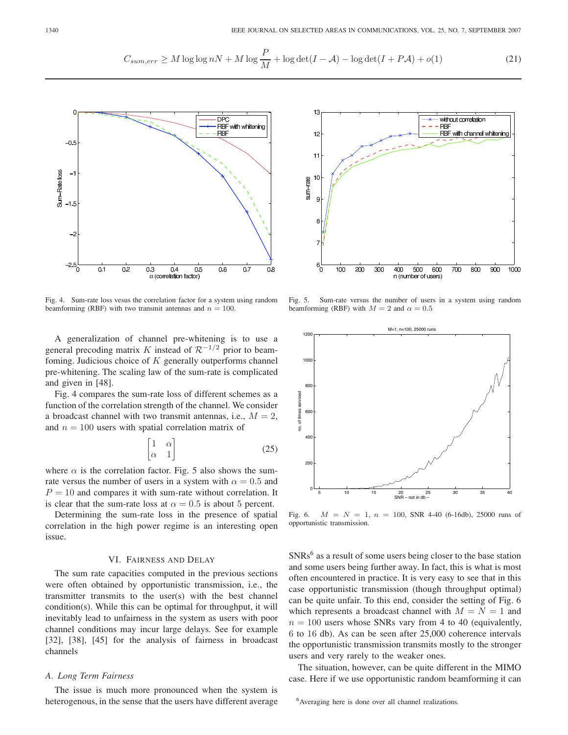$$
C_{sum,err} \ge M \log \log nN + M \log \frac{P}{M} + \log \det(I - A) - \log \det(I + P A) + o(1)
$$
\n(21)



Fig. 4. Sum-rate loss vesus the correlation factor for a system using random beamforming (RBF) with two transmit antennas and  $n = 100$ .

A generalization of channel pre-whitening is to use a general precoding matrix K instead of  $\mathcal{R}^{-1/2}$  prior to beamfoming. Judicious choice of  $K$  generally outperforms channel pre-whitening. The scaling law of the sum-rate is complicated and given in [48].

Fig. 4 compares the sum-rate loss of different schemes as a function of the correlation strength of the channel. We consider a broadcast channel with two transmit antennas, i.e.,  $M = 2$ , and  $n = 100$  users with spatial correlation matrix of

$$
\begin{bmatrix} 1 & \alpha \\ \alpha & 1 \end{bmatrix} \tag{25}
$$

where  $\alpha$  is the correlation factor. Fig. 5 also shows the sumrate versus the number of users in a system with  $\alpha = 0.5$  and  $P = 10$  and compares it with sum-rate without correlation. It is clear that the sum-rate loss at  $\alpha = 0.5$  is about 5 percent.

Determining the sum-rate loss in the presence of spatial correlation in the high power regime is an interesting open issue.

### VI. FAIRNESS AND DELAY

The sum rate capacities computed in the previous sections were often obtained by opportunistic transmission, i.e., the transmitter transmits to the user(s) with the best channel condition(s). While this can be optimal for throughput, it will inevitably lead to unfairness in the system as users with poor channel conditions may incur large delays. See for example [32], [38], [45] for the analysis of fairness in broadcast channels

## *A. Long Term Fairness*

The issue is much more pronounced when the system is heterogenous, in the sense that the users have different average



Fig. 5. Sum-rate versus the number of users in a system using random beamforming (RBF) with  $M = 2$  and  $\alpha = 0.5$ 



Fig. 6.  $M = N = 1$ ,  $n = 100$ , SNR 4-40 (6-16db), 25000 runs of opportunistic transmission.

SNRs<sup>6</sup> as a result of some users being closer to the base station and some users being further away. In fact, this is what is most often encountered in practice. It is very easy to see that in this case opportunistic transmission (though throughput optimal) can be quite unfair. To this end, consider the setting of Fig. 6 which represents a broadcast channel with  $M = N = 1$  and  $n = 100$  users whose SNRs vary from 4 to 40 (equivalently, 6 to 16 db). As can be seen after 25,000 coherence intervals the opportunistic transmission transmits mostly to the stronger users and very rarely to the weaker ones.

The situation, however, can be quite different in the MIMO case. Here if we use opportunistic random beamforming it can

<sup>6</sup>Averaging here is done over all channel realizations.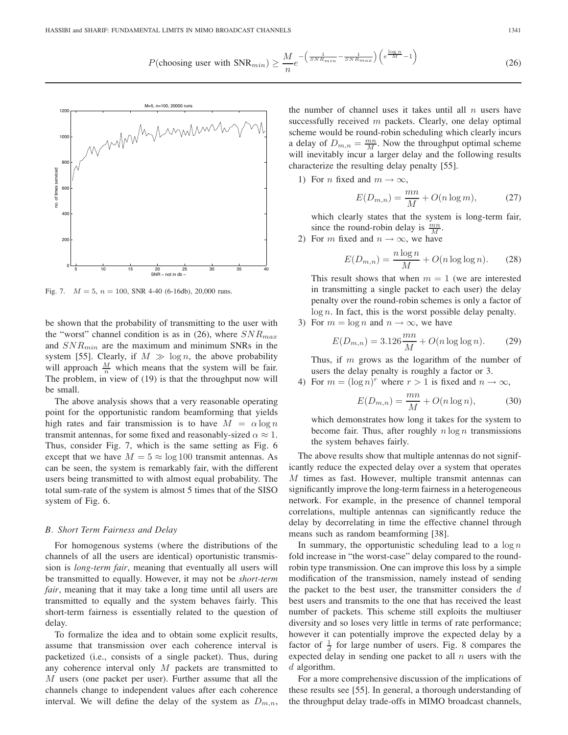$$
P(\text{choosing user with SNR}_{min}) \ge \frac{M}{n} e^{-\left(\frac{1}{SNR_{min}} - \frac{1}{SNR_{max}}\right) \left(e^{\frac{\log n}{M}} - 1\right)}\tag{26}
$$



Fig. 7.  $M = 5$ ,  $n = 100$ , SNR 4-40 (6-16db), 20,000 runs.

be shown that the probability of transmitting to the user with the "worst" channel condition is as in (26), where SNR*max* and SNR*min* are the maximum and minimum SNRs in the system [55]. Clearly, if  $M \gg \log n$ , the above probability will approach  $\frac{M}{n}$  which means that the system will be fair. The problem, in view of (19) is that the throughput now will be small.

The above analysis shows that a very reasonable operating point for the opportunistic random beamforming that yields high rates and fair transmission is to have  $M = \alpha \log n$ transmit antennas, for some fixed and reasonably-sized  $\alpha \approx 1$ . Thus, consider Fig. 7, which is the same setting as Fig. 6 except that we have  $M = 5 \approx \log 100$  transmit antennas. As can be seen, the system is remarkably fair, with the different users being transmitted to with almost equal probability. The total sum-rate of the system is almost 5 times that of the SISO system of Fig. 6.

#### *B. Short Term Fairness and Delay*

For homogenous systems (where the distributions of the channels of all the users are identical) oportunistic transmission is *long-term fair*, meaning that eventually all users will be transmitted to equally. However, it may not be *short-term fair*, meaning that it may take a long time until all users are transmitted to equally and the system behaves fairly. This short-term fairness is essentially related to the question of delay.

To formalize the idea and to obtain some explicit results, assume that transmission over each coherence interval is packetized (i.e., consists of a single packet). Thus, during any coherence interval only  $M$  packets are transmitted to M users (one packet per user). Further assume that all the channels change to independent values after each coherence interval. We will define the delay of the system as  $D_{m,n}$ ,

the number of channel uses it takes until all  $n$  users have successfully received  $m$  packets. Clearly, one delay optimal scheme would be round-robin scheduling which clearly incurs a delay of  $D_{m,n} = \frac{mn}{M}$ . Now the throughput optimal scheme will inevitably incur a larger delay and the following results characterize the resulting delay penalty [55].

1) For *n* fixed and  $m \rightarrow \infty$ ,

$$
E(D_{m,n}) = \frac{mn}{M} + O(n \log m),\tag{27}
$$

which clearly states that the system is long-term fair, since the round-robin delay is  $\frac{mn}{M}$ .

2) For m fixed and  $n \to \infty$ , we have

$$
E(D_{m,n}) = \frac{n \log n}{M} + O(n \log \log n). \tag{28}
$$

This result shows that when  $m = 1$  (we are interested in transmitting a single packet to each user) the delay penalty over the round-robin schemes is only a factor of  $log n$ . In fact, this is the worst possible delay penalty.

3) For  $m = \log n$  and  $n \to \infty$ , we have

$$
E(D_{m,n}) = 3.126 \frac{mn}{M} + O(n \log \log n). \tag{29}
$$

Thus, if  $m$  grows as the logarithm of the number of users the delay penalty is roughly a factor or 3.

4) For  $m = (\log n)^r$  where  $r > 1$  is fixed and  $n \to \infty$ ,

$$
E(D_{m,n}) = \frac{mn}{M} + O(n \log n),\tag{30}
$$

which demonstrates how long it takes for the system to become fair. Thus, after roughly  $n \log n$  transmissions the system behaves fairly.

The above results show that multiple antennas do not significantly reduce the expected delay over a system that operates M times as fast. However, multiple transmit antennas can significantly improve the long-term fairness in a heterogeneous network. For example, in the presence of channel temporal correlations, multiple antennas can significantly reduce the delay by decorrelating in time the effective channel through means such as random beamforming [38].

In summary, the opportunistic scheduling lead to a  $\log n$ fold increase in "the worst-case" delay compared to the roundrobin type transmission. One can improve this loss by a simple modification of the transmission, namely instead of sending the packet to the best user, the transmitter considers the  $d$ best users and transmits to the one that has received the least number of packets. This scheme still exploits the multiuser diversity and so loses very little in terms of rate performance; however it can potentially improve the expected delay by a factor of  $\frac{1}{d}$  for large number of users. Fig. 8 compares the expected delay in sending one packet to all  $n$  users with the d algorithm.

For a more comprehensive discussion of the implications of these results see [55]. In general, a thorough understanding of the throughput delay trade-offs in MIMO broadcast channels,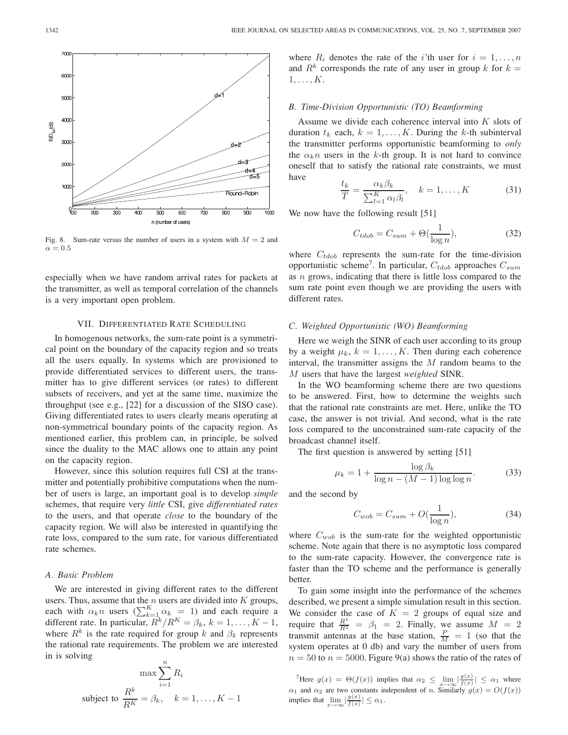

Fig. 8. Sum-rate versus the number of users in a system with  $M = 2$  and  $\alpha = 0.5$ 

especially when we have random arrival rates for packets at the transmitter, as well as temporal correlation of the channels is a very important open problem.

## VII. DIFFERENTIATED RATE SCHEDULING

In homogenous networks, the sum-rate point is a symmetrical point on the boundary of the capacity region and so treats all the users equally. In systems which are provisioned to provide differentiated services to different users, the transmitter has to give different services (or rates) to different subsets of receivers, and yet at the same time, maximize the throughput (see e.g., [22] for a discussion of the SISO case). Giving differentiated rates to users clearly means operating at non-symmetrical boundary points of the capacity region. As mentioned earlier, this problem can, in principle, be solved since the duality to the MAC allows one to attain any point on the capacity region.

However, since this solution requires full CSI at the transmitter and potentially prohibitive computations when the number of users is large, an important goal is to develop *simple* schemes, that require very *little* CSI, give *differentiated rates* to the users, and that operate *close* to the boundary of the capacity region. We will also be interested in quantifying the rate loss, compared to the sum rate, for various differentiated rate schemes.

#### *A. Basic Problem*

We are interested in giving different rates to the different users. Thus, assume that the  $n$  users are divided into  $K$  groups, each with  $\alpha_k n$  users  $(\sum_{k=1}^K \alpha_k = 1)$  and each require a different rate. In particular,  $R^k/R^K = \beta_k$ ,  $k = 1, ..., K - 1$ , where  $R^k$  is the rate required for group k and  $\beta_k$  represents the rational rate requirements. The problem we are interested in is solving

$$
\max \sum_{i=1}^{n} R_i
$$
  
subject to 
$$
\frac{R^k}{R^K} = \beta_k, \quad k = 1, \dots, K - 1
$$

where  $R_i$  denotes the rate of the *i*'th user for  $i = 1, \ldots, n$ and  $R^k$  corresponds the rate of any user in group k for  $k =$  $1,\ldots,K$ .

## *B. Time-Division Opportunistic (TO) Beamforming*

Assume we divide each coherence interval into  $K$  slots of duration  $t_k$  each,  $k = 1, ..., K$ . During the k-th subinterval the transmitter performs opportunistic beamforming to *only* the  $\alpha_k n$  users in the k-th group. It is not hard to convince oneself that to satisfy the rational rate constraints, we must have

$$
\frac{t_k}{T} = \frac{\alpha_k \beta_k}{\sum_{l=1}^K \alpha_l \beta_l}, \quad k = 1, \dots, K
$$
 (31)

We now have the following result [51]

$$
C_{tdob} = C_{sum} + \Theta(\frac{1}{\log n}),\tag{32}
$$

where  $C_{tdob}$  represents the sum-rate for the time-division opportunistic scheme7. In particular, C*tdob* approaches C*sum* as n grows, indicating that there is little loss compared to the sum rate point even though we are providing the users with different rates.

#### *C. Weighted Opportunistic (WO) Beamforming*

Here we weigh the SINR of each user according to its group by a weight  $\mu_k$ ,  $k = 1, \ldots, K$ . Then during each coherence interval, the transmitter assigns the  $M$  random beams to the M users that have the largest *weighted* SINR.

In the WO beamforming scheme there are two questions to be answered. First, how to determine the weights such that the rational rate constraints are met. Here, unlike the TO case, the answer is not trivial. And second, what is the rate loss compared to the unconstrained sum-rate capacity of the broadcast channel itself.

The first question is answered by setting [51]

$$
\mu_k = 1 + \frac{\log \beta_k}{\log n - (M - 1)\log \log n}.
$$
 (33)

and the second by

$$
C_{wob} = C_{sum} + O(\frac{1}{\log n}),\tag{34}
$$

where  $C_{wob}$  is the sum-rate for the weighted opportunistic scheme. Note again that there is no asymptotic loss compared to the sum-rate capacity. However, the convergence rate is faster than the TO scheme and the performance is generally better.

To gain some insight into the performance of the schemes described, we present a simple simulation result in this section. We consider the case of  $K = 2$  groups of equal size and require that  $\frac{R^1}{R^2} = \beta_1 = 2$ . Finally, we assume  $M = 2$ <br>transmit artennes at the heap at tion  $\frac{P}{P} = 1$  (so that the transmit antennas at the base station,  $\frac{P}{M} = 1$  (so that the system operates at 0 db) and vary the number of users from  $n = 50$  to  $n = 5000$ . Figure 9(a) shows the ratio of the rates of

<sup>7</sup>Here</sup>  $g(x) = Θ(f(x))$  implies that  $α_2 ≤ \lim_{x\to\infty} |\frac{g(x)}{f(x)}| ≤ α_1$  where and  $α_2$  are two constants independent of *n*. Similarly  $a(x) = O(f(x))$  $\alpha_1$  and  $\alpha_2$  are two constants independent of n. Similarly  $g(x) = O(f(x))$ implies that  $\lim_{x \to \infty} |\frac{g(x)}{f(x)}| \leq \alpha_1$ .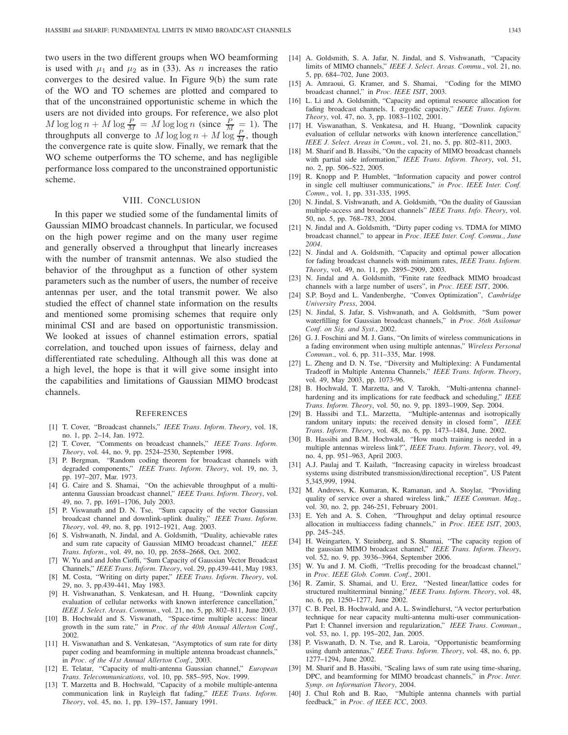two users in the two different groups when WO beamforming is used with  $\mu_1$  and  $\mu_2$  as in (33). As n increases the ratio converges to the desired value. In Figure 9(b) the sum rate of the WO and TO schemes are plotted and compared to that of the unconstrained opportunistic scheme in which the users are not divided into groups. For reference, we also plot  $M \log \log n + M \log \frac{P}{M} = M \log \log n$  (since  $\frac{P}{M} = 1$ ). The throughputs all converge to  $M \log \log n + M \log \frac{P}{M}$ , though the convergence rate is quite slow. Finally, we remark that the WO scheme outperforms the TO scheme, and has negligible performance loss compared to the unconstrained opportunistic scheme.

## VIII. CONCLUSION

In this paper we studied some of the fundamental limits of Gaussian MIMO broadcast channels. In particular, we focused on the high power regime and on the many user regime and generally observed a throughput that linearly increases with the number of transmit antennas. We also studied the behavior of the throughput as a function of other system parameters such as the number of users, the number of receive antennas per user, and the total transmit power. We also studied the effect of channel state information on the results and mentioned some promising schemes that require only minimal CSI and are based on opportunistic transmission. We looked at issues of channel estimation errors, spatial correlation, and touched upon issues of fairness, delay and differentiated rate scheduling. Although all this was done at a high level, the hope is that it will give some insight into the capabilities and limitations of Gaussian MIMO brodcast channels.

#### **REFERENCES**

- [1] T. Cover, "Broadcast channels," *IEEE Trans. Inform. Theory*, vol. 18, no. 1, pp. 2–14, Jan. 1972.
- [2] T. Cover, "Comments on broadcast channels," *IEEE Trans. Inform. Theory*, vol. 44, no. 9, pp. 2524–2530, September 1998.
- [3] P. Bergman, "Random coding theorem for broadcast channels with degraded components," *IEEE Trans. Inform. Theory*, vol. 19, no. 3, pp. 197–207, Mar. 1973.
- [4] G. Caire and S. Shamai, "On the achievable throughput of a multiantenna Gaussian broadcast channel," *IEEE Trans. Inform. Theory*, vol. 49, no. 7, pp. 1691–1706, July 2003.
- [5] P. Viswanath and D. N. Tse, "Sum capacity of the vector Gaussian broadcast channel and downlink-uplink duality," *IEEE Trans. Inform. Theory*, vol. 49, no. 8, pp. 1912–1921, Aug. 2003.
- [6] S. Vishwanath, N. Jindal, and A. Goldsmith, "Duality, achievable rates and sum rate capacity of Gaussian MIMO broadcast channel," *IEEE Trans. Inform.*, vol. 49, no. 10, pp. 2658–2668, Oct. 2002.
- [7] W. Yu and and John Cioffi, "Sum Capacity of Gaussian Vector Broadcast Channels," *IEEE Trans. Inform. Theory*, vol. 29, pp.439-441, May 1983.
- [8] M. Costa, "Writing on dirty paper," *IEEE Trans. Inform. Theory*, vol. 29, no. 3, pp.439-441, May 1983.
- [9] H. Vishwanathan, S. Venkatesan, and H. Huang, "Downlink capcity evaluation of cellular networks with known interference cancellation," *IEEE J. Select. Areas. Commun.*, vol. 21, no. 5, pp. 802–811, June 2003.
- [10] B. Hochwald and S. Viswanath, "Space-time multiple access: linear growth in the sum rate," in *Proc. of the 40th Annual Allerton Conf.*, 2002.
- [11] H. Viswanathan and S. Venkatesan, "Asymptotics of sum rate for dirty paper coding and beamforming in multiple antenna broadcast channels,' in *Proc. of the 41st Annual Allerton Conf.*, 2003.
- [12] E. Telatar, "Capacity of multi-antenna Gaussian channel," *European Trans. Telecommunications*, vol. 10, pp. 585–595, Nov. 1999.
- [13] T. Marzetta and B. Hochwald, "Capacity of a mobile multiple-antenna communication link in Rayleigh flat fading," *IEEE Trans. Inform. Theory*, vol. 45, no. 1, pp. 139–157, January 1991.
- [14] A. Goldsmith, S. A. Jafar, N. Jindal, and S. Vishwanath, "Capacity limits of MIMO channels," *IEEE J. Select. Areas. Commu.*, vol. 21, no. 5, pp. 684–702, June 2003.
- [15] A. Amraoui, G. Kramer, and S. Shamai, "Coding for the MIMO broadcast channel," in *Proc. IEEE ISIT*, 2003.
- [16] L. Li and A. Goldsmith, "Capacity and optimal resource allocation for fading broadcast channels. I. ergodic capacity," *IEEE Trans. Inform. Theory*, vol. 47, no. 3, pp. 1083–1102, 2001.
- [17] H. Viswanathan, S. Venkatesa, and H. Huang, "Downlink capacity evaluation of cellular networks with known interference cancellation, *IEEE J. Select. Areas in Comm.*, vol. 21, no. 5, pp. 802–811, 2003.
- [18] M. Sharif and B. Hassibi, "On the capacity of MIMO broadcast channels with partial side information," *IEEE Trans. Inform. Theory*, vol. 51, no. 2, pp. 506–522, 2005.
- [19] R. Knopp and P. Humblet, "Information capacity and power control in single cell multiuser communications," *in Proc. IEEE Inter. Conf. Comm.*, vol. 1, pp. 331-335, 1995.
- [20] N. Jindal, S. Vishwanath, and A. Goldsmith, "On the duality of Gaussian multiple-access and broadcast channels" *IEEE Trans. Info. Theory*, vol. 50, no. 5, pp. 768–783, 2004.
- [21] N. Jindal and A. Goldsmith, "Dirty paper coding vs. TDMA for MIMO broadcast channel," to appear in *Proc. IEEE Inter. Conf. Commu., June 2004*.
- [22] N. Jindal and A. Goldsmith, "Capacity and optimal power allocation for fading broadcast channels with minimum rates, *IEEE Trans. Inform. Theory*, vol. 49, no. 11, pp. 2895–2909, 2003.
- [23] N. Jindal and A. Goldsmith, "Finite rate feedback MIMO broadcast channels with a large number of users", in *Proc. IEEE ISIT*, 2006.
- [24] S.P. Boyd and L. Vandenberghe, "Convex Optimization", *Cambridge University Press*, 2004.
- [25] N. Jindal, S. Jafar, S. Vishwanath, and A. Goldsmith, "Sum power waterfilling for Gaussian broadcast channels," in *Proc. 36th Asilomar Conf. on Sig. and Syst.*, 2002.
- [26] G. J. Foschini and M. J. Gans, "On limits of wireless communications in a fading environment when using multiple antennas," *Wireless Personal Commun.*, vol. 6, pp. 311–335, Mar. 1998.
- [27] L. Zheng and D. N. Tse, "Diversity and Multiplexing: A Fundamental Tradeoff in Multiple Antenna Channels," *IEEE Trans. Inform. Theory*, vol. 49, May 2003, pp. 1073-96.
- [28] B. Hochwald, T. Marzetta, and V. Tarokh, "Multi-antenna channelhardening and its implications for rate feedback and scheduling," *IEEE Trans. Inform. Theory*, vol. 50, no. 9, pp. 1893–1909, Sep. 2004.
- [29] B. Hassibi and T.L. Marzetta, "Multiple-antennas and isotropically random unitary inputs: the received density in closed form", *IEEE Trans. Inform. Theory*, vol. 48, no. 6, pp. 1473–1484, June. 2002.
- [30] B. Hassibi and B.M. Hochwald, "How much training is needed in a multiple antennas wireless link?", *IEEE Trans. Inform. Theory*, vol. 49, no. 4, pp. 951–963, April 2003.
- [31] A.J. Paulaj and T. Kailath, "Increasing capacity in wireless broadcast systems using distributed transmission/directional reception", US Patent 5,345,999, 1994.
- [32] M. Andrews, K. Kumaran, K. Ramanan, and A. Stoylar, "Providing quality of service over a shared wireless link," *IEEE Commun. Mag.,* vol. 30, no. 2, pp. 246-251, February 2001.
- [33] E. Yeh and A. S. Cohen, "Throughput and delay optimal resource allocation in multiaccess fading channels," in *Proc. IEEE ISIT*, 2003, pp. 245–245.
- [34] H. Weingarten, Y. Steinberg, and S. Shamai, "The capacity region of the gaussian MIMO broadcast channel," *IEEE Trans. Inform. Theory*, vol. 52, no. 9, pp. 3936–3964, September 2006.
- [35] W. Yu and J. M. Cioffi, "Trellis precoding for the broadcast channel," in *Proc. IEEE Glob. Comm. Conf.*, 2001.
- [36] R. Zamir, S. Shamai, and U. Erez, "Nested linear/lattice codes for structured multiterminal binning," *IEEE Trans. Inform. Theory*, vol. 48, no. 6, pp. 1250–1277, June 2002.
- [37] C. B. Peel, B. Hochwald, and A. L. Swindlehurst, "A vector perturbation technique for near capacity multi-antenna multi-user communication-Part I: Channel inversion and regularization," IEEE Trans. Commun., vol. 53, no. 1, pp. 195–202, Jan. 2005.
- [38] P. Viswanath, D. N. Tse, and R. Laroia, "Opportunistic beamforming using dumb antennas," *IEEE Trans. Inform. Theory*, vol. 48, no. 6, pp. 1277–1294, June 2002.
- [39] M. Sharif and B. Hassibi, "Scaling laws of sum rate using time-sharing, DPC, and beamforming for MIMO broadcast channels," in *Proc. Inter. Symp. on Information Theory*, 2004.
- [40] J. Chul Roh and B. Rao, "Multiple antenna channels with partial feedback," in *Proc. of IEEE ICC*, 2003.